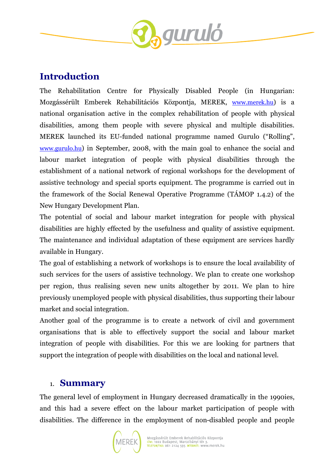

### **Introduction**

The Rehabilitation Centre for Physically Disabled People (in Hungarian: Mozgássérült Emberek Rehabilitációs Központja, MEREK, www.merek.hu) is a national organisation active in the complex rehabilitation of people with physical disabilities, among them people with severe physical and multiple disabilities. MEREK launched its EU-funded national programme named Gurulo ("Rolling", www.gurulo.hu) in September, 2008, with the main goal to enhance the social and labour market integration of people with physical disabilities through the establishment of a national network of regional workshops for the development of assistive technology and special sports equipment. The programme is carried out in the framework of the Social Renewal Operative Programme (TÁMOP 1.4.2) of the New Hungary Development Plan.

The potential of social and labour market integration for people with physical disabilities are highly effected by the usefulness and quality of assistive equipment. The maintenance and individual adaptation of these equipment are services hardly available in Hungary.

The goal of establishing a network of workshops is to ensure the local availability of such services for the users of assistive technology. We plan to create one workshop per region, thus realising seven new units altogether by 2011. We plan to hire previously unemployed people with physical disabilities, thus supporting their labour market and social integration.

Another goal of the programme is to create a network of civil and government organisations that is able to effectively support the social and labour market integration of people with disabilities. For this we are looking for partners that support the integration of people with disabilities on the local and national level.

#### 1. **Summary**

The general level of employment in Hungary decreased dramatically in the 1990ies, and this had a severe effect on the labour market participation of people with disabilities. The difference in the employment of non-disabled people and people

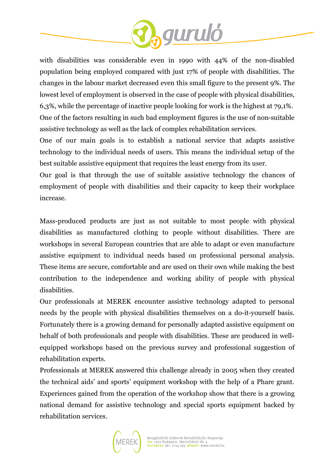

with disabilities was considerable even in 1990 with 44% of the non-disabled population being employed compared with just 17% of people with disabilities. The changes in the labour market decreased even this small figure to the present 9%. The lowest level of employment is observed in the case of people with physical disabilities, 6,3%, while the percentage of inactive people looking for work is the highest at 79,1%. One of the factors resulting in such bad employment figures is the use of non-suitable assistive technology as well as the lack of complex rehabilitation services.

One of our main goals is to establish a national service that adapts assistive technology to the individual needs of users. This means the individual setup of the best suitable assistive equipment that requires the least energy from its user.

Our goal is that through the use of suitable assistive technology the chances of employment of people with disabilities and their capacity to keep their workplace increase.

Mass-produced products are just as not suitable to most people with physical disabilities as manufactured clothing to people without disabilities. There are workshops in several European countries that are able to adapt or even manufacture assistive equipment to individual needs based on professional personal analysis. These items are secure, comfortable and are used on their own while making the best contribution to the independence and working ability of people with physical disabilities.

Our professionals at MEREK encounter assistive technology adapted to personal needs by the people with physical disabilities themselves on a do-it-yourself basis. Fortunately there is a growing demand for personally adapted assistive equipment on behalf of both professionals and people with disabilities. These are produced in wellequipped workshops based on the previous survey and professional suggestion of rehabilitation experts.

Professionals at MEREK answered this challenge already in 2005 when they created the technical aids' and sports' equipment workshop with the help of a Phare grant. Experiences gained from the operation of the workshop show that there is a growing national demand for assistive technology and special sports equipment backed by rehabilitation services.

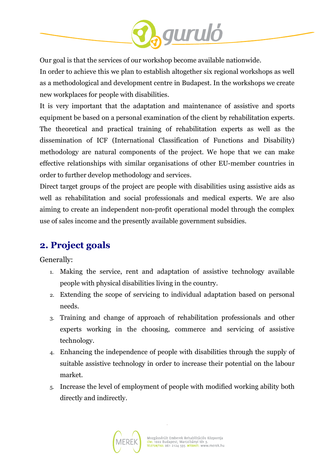

Our goal is that the services of our workshop become available nationwide.

In order to achieve this we plan to establish altogether six regional workshops as well as a methodological and development centre in Budapest. In the workshops we create new workplaces for people with disabilities.

It is very important that the adaptation and maintenance of assistive and sports equipment be based on a personal examination of the client by rehabilitation experts. The theoretical and practical training of rehabilitation experts as well as the dissemination of ICF (International Classification of Functions and Disability) methodology are natural components of the project. We hope that we can make effective relationships with similar organisations of other EU-member countries in order to further develop methodology and services.

Direct target groups of the project are people with disabilities using assistive aids as well as rehabilitation and social professionals and medical experts. We are also aiming to create an independent non-profit operational model through the complex use of sales income and the presently available government subsidies.

## **2. Project goals**

Generally:

- 1. Making the service, rent and adaptation of assistive technology available people with physical disabilities living in the country.
- 2. Extending the scope of servicing to individual adaptation based on personal needs.
- 3. Training and change of approach of rehabilitation professionals and other experts working in the choosing, commerce and servicing of assistive technology.
- 4. Enhancing the independence of people with disabilities through the supply of suitable assistive technology in order to increase their potential on the labour market.
- 5. Increase the level of employment of people with modified working ability both directly and indirectly.

l,

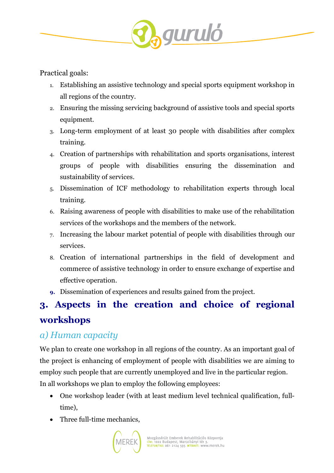

Practical goals:

- 1. Establishing an assistive technology and special sports equipment workshop in all regions of the country.
- 2. Ensuring the missing servicing background of assistive tools and special sports equipment.
- 3. Long-term employment of at least 30 people with disabilities after complex training.
- 4. Creation of partnerships with rehabilitation and sports organisations, interest groups of people with disabilities ensuring the dissemination and sustainability of services.
- 5. Dissemination of ICF methodology to rehabilitation experts through local training.
- 6. Raising awareness of people with disabilities to make use of the rehabilitation services of the workshops and the members of the network.
- 7. Increasing the labour market potential of people with disabilities through our services.
- 8. Creation of international partnerships in the field of development and commerce of assistive technology in order to ensure exchange of expertise and effective operation.
- **9.** Dissemination of experiences and results gained from the project.

# **3. Aspects in the creation and choice of regional workshops**

## *a) Human capacity*

We plan to create one workshop in all regions of the country. As an important goal of the project is enhancing of employment of people with disabilities we are aiming to employ such people that are currently unemployed and live in the particular region. In all workshops we plan to employ the following employees:

- One workshop leader (with at least medium level technical qualification, fulltime),
- Three full-time mechanics,